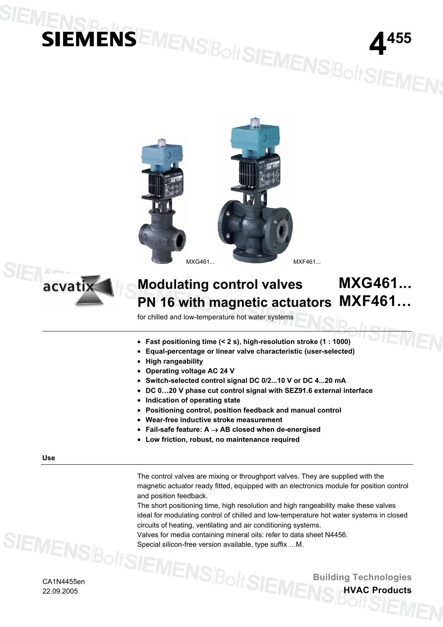# **IENSIS EMENS BoltSIEMENS BoltSIEMENS**





#### **Modulating control valves PN 16 with magnetic actuators MXG461... MXF461…**

for chilled and low-temperature hot water systems

- **Fast positioning time (< 2 s), high-resolution stroke (1 : 1000)**
- **Equal-percentage or linear valve characteristic (user-selected)**
- **High rangeability**
- **Operating voltage AC 24 V**
- **Switch-selected control signal DC 0/2...10 V or DC 4...20 mA**
- **DC 0…20 V phase cut control signal with SEZ91.6 external interface**
- **Indication of operating state**
- **Positioning control, position feedback and manual control**
- **Wear-free inductive stroke measurement**
- **Fail-safe feature: A** → **AB closed when de-energised**
- **Low friction, robust, no maintenance required**

**Use** 

The control valves are mixing or throughport valves. They are supplied with the magnetic actuator ready fitted, equipped with an electronics module for position control and position feedback.

The short positioning time, high resolution and high rangeability make these valves ideal for modulating control of chilled and low-temperature hot water systems in closed circuits of heating, ventilating and air conditioning systems.

Valves for media containing mineral oils: refer to data sheet N4456. Special silicon-free version available, type suffix …M.

> **Building Technologies HVAC Products**

CA1N4455en 22.09.2005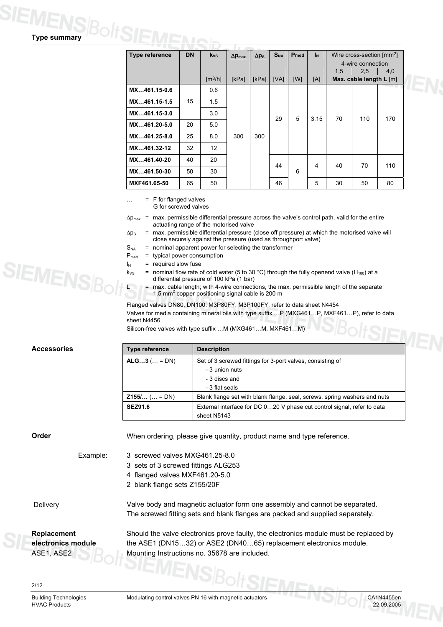## **Type summary**

|                | <b>DN</b> |                              |                         |              |          |                  |       |     |                                       |     |
|----------------|-----------|------------------------------|-------------------------|--------------|----------|------------------|-------|-----|---------------------------------------|-----|
| Type reference |           | $k_{vs}$                     | $\Delta p_{\text{max}}$ | $\Delta p_S$ | $S_{NA}$ | P <sub>med</sub> | $I_N$ |     | Wire cross-section [mm <sup>2</sup> ] |     |
|                |           |                              |                         |              |          |                  |       |     | 4-wire connection                     |     |
|                |           |                              |                         |              |          |                  |       | 1,5 | 2,5                                   | 4,0 |
|                |           | $\left[\frac{m^3}{h}\right]$ | [kPa]                   | [kPa]        | [VA]     | [W]              | [A]   |     | Max. cable length L [m]               |     |
| MX461.15-0.6   |           | 0.6                          |                         |              |          |                  |       |     |                                       |     |
| MX461.15-1.5   | 15        | 1.5                          |                         |              |          |                  |       |     |                                       |     |
| MX461.15-3.0   |           | 3.0                          |                         |              | 29       | 5                | 3.15  | 70  | 110                                   | 170 |
| MX461.20-5.0   | 20        | 5.0                          |                         |              |          |                  |       |     |                                       |     |
| MX461.25-8.0   | 25        | 8.0                          | 300                     | 300          |          |                  |       |     |                                       |     |
| MX461.32-12    | 32        | 12                           |                         |              |          |                  |       |     |                                       |     |
| MX461.40-20    | 40        | 20                           |                         |              | 44       |                  | 4     | 40  | 70                                    | 110 |
| MX461.50-30    | 50        | 30                           |                         |              |          | 6                |       |     |                                       |     |
| MXF461.65-50   | 65        | 50                           |                         |              | 46       |                  | 5     | 30  | 50                                    | 80  |

… = F for flanged valves G for screwed valves

- $\Delta p_{\text{max}}$  = max. permissible differential pressure across the valve's control path, valid for the entire actuating range of the motorised valve
- $\Delta p_S$  = max. permissible differential pressure (close off pressure) at which the motorised valve will close securely against the pressure (used as throughport valve)
- $S_{NA}$  = nominal apparent power for selecting the transformer
- $P_{med}$  = typical power consumption
- $I_N$  = required slow fuse
- $k_{VS}$  = nominal flow rate of cold water (5 to 30 °C) through the fully openend valve (H<sub>100</sub>) at a differential pressure of 100 kPa (1 bar)
	- = max. cable length; with 4-wire connections, the max. permissible length of the separate 1.5  $mm<sup>2</sup>$  copper positioning signal cable is 200 m

Flanged valves DN80, DN100: M3P80FY, M3P100FY, refer to data sheet N4454 Valves for media containing mineral oils with type suffix …P (MXG461…P, MXF461…P), refer to data sheet N4456

| Type reference       | <b>Description</b>                                                        |
|----------------------|---------------------------------------------------------------------------|
| ALG3 ( = DN)         | Set of 3 screwed fittings for 3-port valves, consisting of                |
|                      | - 3 union nuts                                                            |
|                      | - 3 discs and                                                             |
|                      | - 3 flat seals                                                            |
| <b>Z155/</b> ( = DN) | Blank flange set with blank flange, seal, screws, spring washers and nuts |
| <b>SEZ91.6</b>       | External interface for DC 020 V phase cut control signal, refer to data   |
|                      | sheet N5143                                                               |

**Accessories** 

**Order When ordering, please give quantity, product name and type reference.** 

- Example: 3 screwed valves MXG461.25-8.0
	- 3 sets of 3 screwed fittings ALG253
	- 4 flanged valves MXF461.20-5.0
	- 2 blank flange sets Z155/20F

Delivery Valve body and magnetic actuator form one assembly and cannot be separated. The screwed fitting sets and blank flanges are packed and supplied separately.

**Replacement electronics module** ASE1, ASE2

Should the valve electronics prove faulty, the electronics module must be replaced by the ASE1 (DN15…32) or ASE2 (DN40…65) replacement electronics module. Mounting Instructions no. 35678 are included.

**SIEMENS** 

HVAC Products 22.09.2005

Building Technologies Modulating control valves PN 16 with magnetic actuators CA1N4455en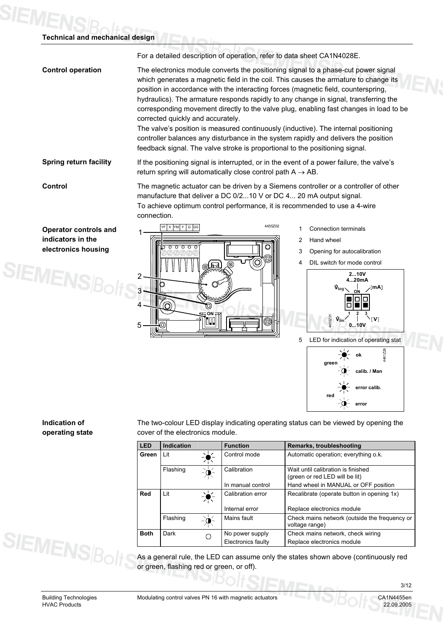#### **Technical and mechanical design**

For a detailed description of operation, refer to data sheet CA1N4028E.

**Control operation** The electronics module converts the positioning signal to a phase-cut power signal which generates a magnetic field in the coil. This causes the armature to change its position in accordance with the interacting forces (magnetic field, counterspring, hydraulics). The armature responds rapidly to any change in signal, transferring the corresponding movement directly to the valve plug, enabling fast changes in load to be corrected quickly and accurately.

> The valve's position is measured continuously (inductive). The internal positioning controller balances any disturbance in the system rapidly and delivers the position feedback signal. The valve stroke is proportional to the positioning signal.

**Spring return facility** If the positioning signal is interrupted, or in the event of a power failure, the valve's return spring will automatically close control path  $A \rightarrow AB$ .

SIEMENS

**Control The magnetic actuator can be driven by a Siemens controller or a controller of other** manufacture that deliver a DC 0/2...10 V or DC 4... 20 mA output signal. To achieve optimum control performance, it is recommended to use a 4-wire connection.

**Operator controls and indicators in the electronics housing** 



- 1 Connection terminals
- 2 Hand wheel
- 3 Opening for autocalibration
- 4 DIL switch for mode control



#### **Indication of operating state**

The two-colour LED display indicating operating status can be viewed by opening the cover of the electronics module.

| <b>LED</b>  | <b>Indication</b> |               | <b>Function</b>    | Remarks, troubleshooting                                             |
|-------------|-------------------|---------------|--------------------|----------------------------------------------------------------------|
| Green       | Lit               |               | Control mode       | Automatic operation; everything o.k.                                 |
|             | Flashing          | $-\Phi$       | Calibration        | Wait until calibration is finished<br>(green or red LED will be lit) |
|             |                   |               | In manual control  | Hand wheel in MANUAL or OFF position                                 |
| Red         | Lit               | $\frac{1}{2}$ | Calibration error  | Recalibrate (operate button in opening 1x)                           |
|             |                   |               | Internal error     | Replace electronics module                                           |
|             | Flashing          | -`o           | Mains fault        | Check mains network (outside the frequency or<br>voltage range)      |
| <b>Both</b> | Dark              |               | No power supply    | Check mains network, check wiring                                    |
|             |                   |               | Electronics faulty | Replace electronics module                                           |

As a general rule, the LED can assume only the states shown above (continuously red or green, flashing red or green, or off).

**SIEMENS**Bol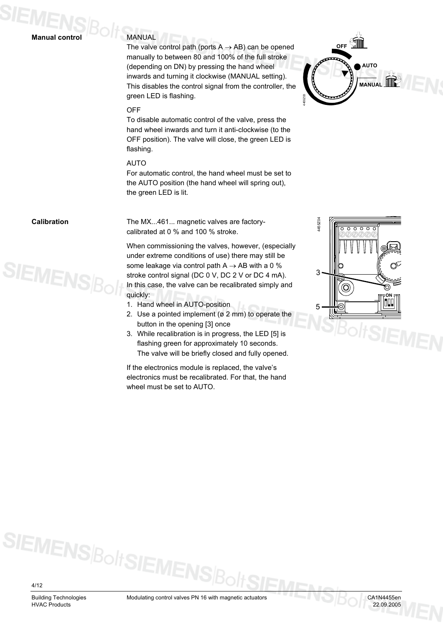#### **Manual control**

#### MANUAL

The valve control path (ports  $A \rightarrow AB$ ) can be opened manually to between 80 and 100% of the full stroke (depending on DN) by pressing the hand wheel inwards and turning it clockwise (MANUAL setting). This disables the control signal from the controller, the green LED is flashing.



#### **OFF**

To disable automatic control of the valve, press the hand wheel inwards and turn it anti-clockwise (to the OFF position). The valve will close, the green LED is flashing.

#### AUTO

For automatic control, the hand wheel must be set to the AUTO position (the hand wheel will spring out), the green LED is lit.

#### **Calibration**



The MX...461... magnetic valves are factorycalibrated at 0 % and 100 % stroke.

When commissioning the valves, however, (especially under extreme conditions of use) there may still be some leakage via control path  $A \rightarrow AB$  with a 0 % stroke control signal (DC 0 V, DC 2 V or DC 4 mA). In this case, the valve can be recalibrated simply and quickly:

- 1. Hand wheel in AUTO-position
- 2. Use a pointed implement (ø 2 mm) to operate the button in the opening [3] once
- 3. While recalibration is in progress, the LED [5] is flashing green for approximately 10 seconds. The valve will be briefly closed and fully opened.

If the electronics module is replaced, the valve's electronics must be recalibrated. For that, the hand wheel must be set to AUTO.



4/12

HVAC Products 22.09.2005

SIEMENS Bolt SIEMEN:

Building Technologies Modulating control valves PN 16 with magnetic actuators CA1N4455en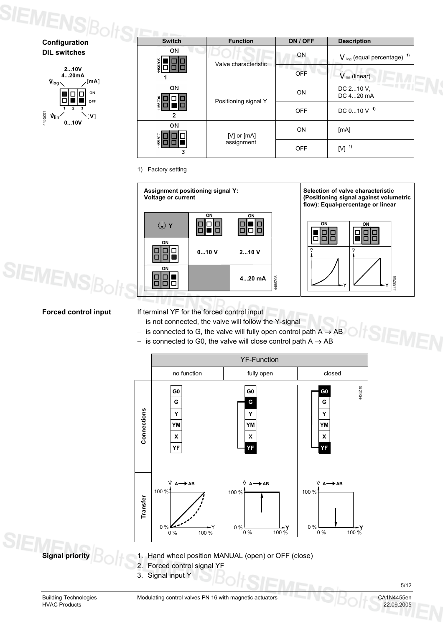# **SIEMENS** $\mathcal{B}_{\text{diff}$

**DIL switches**



| <b>Switch</b> | <b>Function</b>      | ON / OFF   | <b>Description</b>                         |
|---------------|----------------------|------------|--------------------------------------------|
| ON            | Valve characteristic | ON         | $V_{log}$ (equal percentage) <sup>1)</sup> |
|               |                      | <b>OFF</b> | $V_{lin}$ (linear)                         |
| ON            | Positioning signal Y | <b>ON</b>  | DC 210 V,<br>DC 420 mA                     |
| $\mathbf{c}$  |                      | <b>OFF</b> | DC $010$ V $1$                             |
| οN            | [V] or $[mA]$        | ON         | [mA]                                       |
| 3             | assignment           | <b>OFF</b> | $[V]$ <sup>1)</sup>                        |

#### 1) Factory setting



**SIEMENS** 

**Forced control input** If terminal YF for the forced control input

- − is not connected, the valve will follow the Y-signal
- $−$  is connected to G, the valve will fully open control path A  $→$  AB
- $-$  is connected to G0, the valve will close control path  $A \rightarrow AB$



**Signal priority** 1. Hand wheel position MANUAL (open) or OFF (close)

- 2. Forced control signal YF
- 3. Signal input Y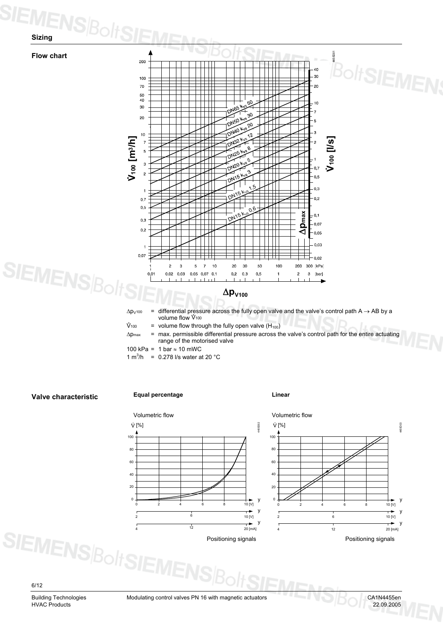





6/12

HVAC Products 22.09.2005

Building Technologies Modulating control valves PN 16 with magnetic actuators CA1N4455en<br>HVAC Products 22.09.2005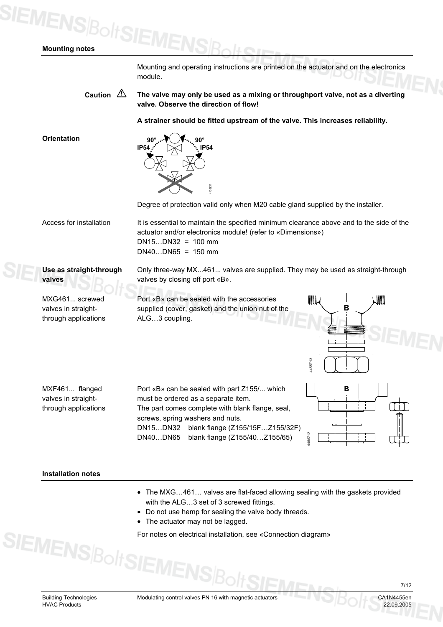### **SIEMENS**BoltSIE **Mounting notes**

Mounting and operating instructions are printed on the actuator and on the electronics module.

Caution  $\sqrt{2}$  The valve may only be used as a mixing or throughport valve, not as a diverting **valve. Observe the direction of flow!**

**A strainer should be fitted upstream of the valve. This increases reliability.**

**Orientation** 



Degree of protection valid only when M20 cable gland supplied by the installer.

Only three-way MX...461... valves are supplied. They may be used as straight-through

4455Z13

WWW

4455Z12

Access for installation

It is essential to maintain the specified minimum clearance above and to the side of the actuator and/or electronics module! (refer to «Dimensions») DN15…DN32 = 100 mm  $DN40...DN65 = 150$  mm

**Use as straight-through valves**

MXG461... screwed valves in straightthrough applications valves by closing off port «B». Port «B» can be sealed with the accessories

supplied (cover, gasket) and the union nut of the ALG…3 coupling.

MXF461... flanged valves in straightthrough applications

Port «B» can be sealed with part Z155/... which must be ordered as a separate item. The part comes complete with blank flange, seal, screws, spring washers and nuts. DN15…DN32 blank flange (Z155/15F…Z155/32F) DN40…DN65 blank flange (Z155/40…Z155/65)

#### **Installation notes**

- The MXG…461… valves are flat-faced allowing sealing with the gaskets provided with the ALG…3 set of 3 screwed fittings.
- Do not use hemp for sealing the valve body threads.
- The actuator may not be lagged.

For notes on electrical installation, see «Connection diagram»<br>
For notes on electrical installation, see «Connection diagram»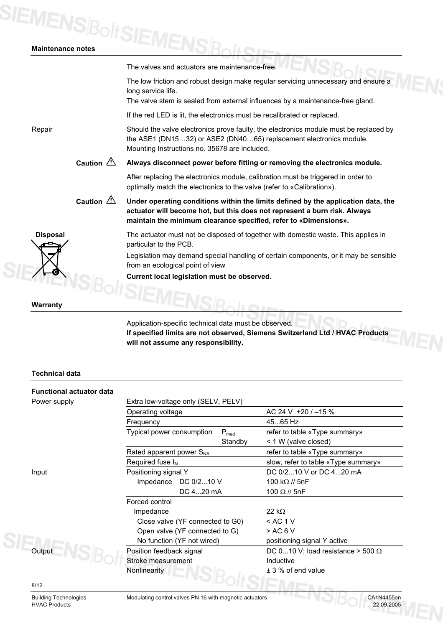# **SIEMENS**BoltSIEMENSBolt

| <b>Maintenance notes</b> |                           |                                                                                                                                                                                                                                    |
|--------------------------|---------------------------|------------------------------------------------------------------------------------------------------------------------------------------------------------------------------------------------------------------------------------|
|                          |                           | The valves and actuators are maintenance-free.                                                                                                                                                                                     |
|                          |                           | The low friction and robust design make regular servicing unnecessary and ensure a<br>long service life.                                                                                                                           |
|                          |                           | The valve stem is sealed from external influences by a maintenance-free gland.<br>If the red LED is lit, the electronics must be recalibrated or replaced.                                                                         |
| Repair                   |                           | Should the valve electronics prove faulty, the electronics module must be replaced by<br>the ASE1 (DN1532) or ASE2 (DN4065) replacement electronics module.<br>Mounting Instructions no. 35678 are included.                       |
|                          | Caution $\mathbb{\Delta}$ | Always disconnect power before fitting or removing the electronics module.                                                                                                                                                         |
|                          |                           | After replacing the electronics module, calibration must be triggered in order to<br>optimally match the electronics to the valve (refer to «Calibration»).                                                                        |
|                          | Caution $\mathbb{\Delta}$ | Under operating conditions within the limits defined by the application data, the<br>actuator will become hot, but this does not represent a burn risk. Always<br>maintain the minimum clearance specified, refer to «Dimensions». |
| <b>Disposal</b>          |                           | The actuator must not be disposed of together with domestic waste. This applies in<br>particular to the PCB.                                                                                                                       |
|                          |                           | Legislation may demand special handling of certain components, or it may be sensible<br>from an ecological point of view                                                                                                           |
|                          |                           | Current local legislation must be observed.                                                                                                                                                                                        |
| Warranty                 |                           |                                                                                                                                                                                                                                    |
|                          |                           | Application-specific technical data must be observed.                                                                                                                                                                              |
|                          |                           | If encoified limite are not observed. Siemens Switzerland Ltd / HVAC Producte                                                                                                                                                      |

**If specified limits are not observed, Siemens Switzerland Ltd / HVAC Products will not assume any responsibility.**

#### **Technical data**

| <b>Functional actuator data</b> |                                               |                                          |  |  |  |
|---------------------------------|-----------------------------------------------|------------------------------------------|--|--|--|
| Power supply                    | Extra low-voltage only (SELV, PELV)           |                                          |  |  |  |
|                                 | Operating voltage                             | AC 24 V $+20$ / $-15$ %                  |  |  |  |
|                                 | Frequency                                     | 4565 Hz                                  |  |  |  |
|                                 | Typical power consumption<br>$P_{\text{med}}$ | refer to table «Type summary»            |  |  |  |
|                                 | Standby                                       | < 1 W (valve closed)                     |  |  |  |
|                                 | Rated apparent power S <sub>NA</sub>          | refer to table «Type summary»            |  |  |  |
|                                 | Required fuse $I_N$                           | slow, refer to table «Type summary»      |  |  |  |
| Input                           | Positioning signal Y                          | DC 0/210 V or DC 420 mA                  |  |  |  |
|                                 | DC 0/210 V<br>Impedance                       | 100 k $\Omega$ // 5nF                    |  |  |  |
|                                 | DC 420 mA                                     | 100 $\Omega$ // 5nF                      |  |  |  |
|                                 | Forced control                                |                                          |  |  |  |
|                                 | Impedance                                     | 22 k $\Omega$                            |  |  |  |
|                                 | Close valve (YF connected to G0)              | $<$ AC 1 V                               |  |  |  |
|                                 | Open valve (YF connected to G)                | > AC 6 V                                 |  |  |  |
|                                 | No function (YF not wired)                    | positioning signal Y active              |  |  |  |
| Output                          | Position feedback signal                      | DC 010 V; load resistance > 500 $\Omega$ |  |  |  |
|                                 | Stroke measurement                            | Inductive                                |  |  |  |
|                                 | <b>Nonlinearity</b>                           | $± 3$ % of end value                     |  |  |  |
| 8/12                            |                                               | The manufacturer                         |  |  |  |

HVAC Products

Building Technologies Modulating control valves PN 16 with magnetic actuators CA1N4455en<br>HVAC Products 22.09.2005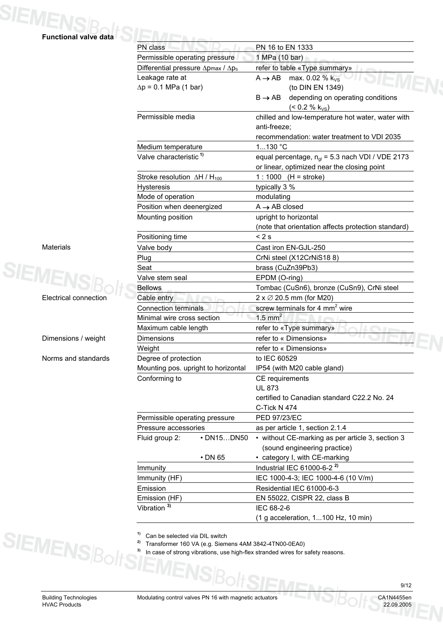

|                              | PN 16 to EN 1333<br>PN class                        |                                                                                            |  |  |  |  |  |  |  |
|------------------------------|-----------------------------------------------------|--------------------------------------------------------------------------------------------|--|--|--|--|--|--|--|
|                              | Permissible operating pressure                      | 1 MPa (10 bar)                                                                             |  |  |  |  |  |  |  |
|                              | Differential pressure $\Delta p$ max / $\Delta p_s$ | refer to table «Type summary»                                                              |  |  |  |  |  |  |  |
|                              | Leakage rate at                                     | $A \rightarrow AB$<br>max. 0.02 % k <sub>vs</sub>                                          |  |  |  |  |  |  |  |
|                              | $\Delta p = 0.1$ MPa (1 bar)                        | (to DIN EN 1349)                                                                           |  |  |  |  |  |  |  |
|                              |                                                     | depending on operating conditions<br>$B \rightarrow AB$<br>$($ < 0.2 % k <sub>vs</sub> $)$ |  |  |  |  |  |  |  |
|                              | Permissible media                                   | chilled and low-temperature hot water, water with                                          |  |  |  |  |  |  |  |
|                              |                                                     | anti-freeze;                                                                               |  |  |  |  |  |  |  |
|                              |                                                     | recommendation: water treatment to VDI 2035                                                |  |  |  |  |  |  |  |
|                              | Medium temperature                                  | 1130 °C                                                                                    |  |  |  |  |  |  |  |
|                              | Valve characteristic <sup>1)</sup>                  | equal percentage, $n_{ql}$ = 5.3 nach VDI / VDE 2173                                       |  |  |  |  |  |  |  |
|                              |                                                     | or linear, optimized near the closing point                                                |  |  |  |  |  |  |  |
|                              | Stroke resolution $\Delta H/H_{100}$                | 1 : 1000 $(H =$ stroke)                                                                    |  |  |  |  |  |  |  |
|                              | Hysteresis                                          | typically 3 %                                                                              |  |  |  |  |  |  |  |
|                              | Mode of operation                                   | modulating                                                                                 |  |  |  |  |  |  |  |
|                              | Position when deenergized                           | $A \rightarrow AB$ closed                                                                  |  |  |  |  |  |  |  |
|                              | Mounting position                                   | upright to horizontal                                                                      |  |  |  |  |  |  |  |
|                              |                                                     | (note that orientation affects protection standard)                                        |  |  |  |  |  |  |  |
| Materials                    | Positioning time<br>Valve body                      | < 2s<br>Cast iron EN-GJL-250                                                               |  |  |  |  |  |  |  |
|                              | Plug                                                | CrNi steel (X12CrNiS188)                                                                   |  |  |  |  |  |  |  |
|                              | Seat                                                | brass (CuZn39Pb3)                                                                          |  |  |  |  |  |  |  |
|                              | Valve stem seal                                     | EPDM (O-ring)                                                                              |  |  |  |  |  |  |  |
|                              | <b>Bellows</b>                                      | Tombac (CuSn6), bronze (CuSn9), CrNi steel                                                 |  |  |  |  |  |  |  |
| <b>Electrical connection</b> | Cable entry                                         | $2 \times \emptyset$ 20.5 mm (for M20)                                                     |  |  |  |  |  |  |  |
|                              | <b>Connection terminals</b>                         | screw terminals for 4 $mm2$ wire                                                           |  |  |  |  |  |  |  |
|                              | Minimal wire cross section                          | $1.5$ mm <sup>2</sup>                                                                      |  |  |  |  |  |  |  |
|                              | Maximum cable length                                | refer to «Type summary»                                                                    |  |  |  |  |  |  |  |
| Dimensions / weight          | Dimensions                                          | refer to « Dimensions»                                                                     |  |  |  |  |  |  |  |
|                              | Weight                                              | refer to « Dimensions»                                                                     |  |  |  |  |  |  |  |
| Norms and standards          | Degree of protection                                | to IEC 60529                                                                               |  |  |  |  |  |  |  |
|                              | Mounting pos. upright to horizontal                 | IP54 (with M20 cable gland)                                                                |  |  |  |  |  |  |  |
|                              | Conforming to                                       | CE requirements                                                                            |  |  |  |  |  |  |  |
|                              |                                                     | <b>UL 873</b>                                                                              |  |  |  |  |  |  |  |
|                              |                                                     | certified to Canadian standard C22.2 No. 24                                                |  |  |  |  |  |  |  |
|                              |                                                     | C-Tick N 474                                                                               |  |  |  |  |  |  |  |
|                              | Permissible operating pressure                      | PED 97/23/EC                                                                               |  |  |  |  |  |  |  |
|                              | Pressure accessories                                | as per article 1, section 2.1.4                                                            |  |  |  |  |  |  |  |
|                              | Fluid group 2:<br>• DN15DN50                        | • without CE-marking as per article 3, section 3<br>(sound engineering practice)           |  |  |  |  |  |  |  |
|                              | $\cdot$ DN 65                                       | • category I, with CE-marking                                                              |  |  |  |  |  |  |  |
|                              | Immunity                                            | Industrial IEC 61000-6-2 <sup>2)</sup>                                                     |  |  |  |  |  |  |  |
|                              | Immunity (HF)                                       | IEC 1000-4-3; IEC 1000-4-6 (10 V/m)                                                        |  |  |  |  |  |  |  |
|                              | Emission                                            | Residential IEC 61000-6-3<br>EN 55022, CISPR 22, class B<br>IEC 68-2-6                     |  |  |  |  |  |  |  |
|                              | Emission (HF)                                       |                                                                                            |  |  |  |  |  |  |  |
|                              | Vibration <sup>3)</sup>                             |                                                                                            |  |  |  |  |  |  |  |
|                              |                                                     | (1 g acceleration, 1100 Hz, 10 min)                                                        |  |  |  |  |  |  |  |
|                              |                                                     |                                                                                            |  |  |  |  |  |  |  |



|  |  |  | <sup>1)</sup> Can be selected via DIL switch |  |  |  |
|--|--|--|----------------------------------------------|--|--|--|
|--|--|--|----------------------------------------------|--|--|--|

<sup>2)</sup> Transformer 160 VA (e.g. Siemens 4AM 3842-4TN00-0EA0)<sup>3</sup> In case of strong vibrations, use bigh-flex stranded wires for s

**3)** In case of strong vibrations, use high-flex stranded wires for safety reasons.

**SIEMENSBo** 

9/12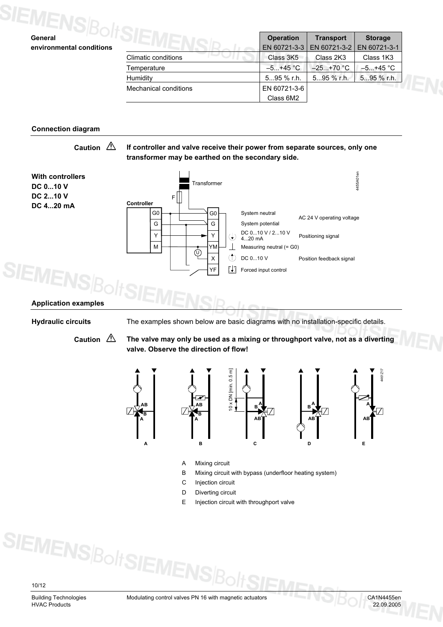| General                  |                       | <b>Operation</b> | <b>Transport</b> | <b>Storage</b> |
|--------------------------|-----------------------|------------------|------------------|----------------|
| environmental conditions |                       | EN 60721-3-3     | EN 60721-3-2     | EN 60721-3-1   |
|                          | Climatic conditions   | Class 3K5        | Class 2K3        | Class 1K3      |
|                          | Temperature           | $-5+45$ °C       | $-25+70 °C$      | $-5+45$ °C     |
|                          | Humidity              | 595 % r.h.       | 595 % r.h.       | 595 % r.h.     |
|                          | Mechanical conditions | EN 60721-3-6     |                  |                |
|                          |                       | Class 6M2        |                  |                |

#### **Connection diagram**

#### Caution  $\triangle$  If controller and valve receive their power from separate sources, only one **transformer may be earthed on the secondary side.**



**Hydraulic circuits** The examples shown below are basic diagrams with no installation-specific details.

Caution  $\triangle$  The valve may only be used as a mixing or throughport valve, not as a diverting **valve. Observe the direction of flow!**



- A Mixing circuit
- B Mixing circuit with bypass (underfloor heating system)
- C Injection circuit
- D Diverting circuit
- E Injection circuit with throughport valve

10/12

HVAC Products 22.09.2005

**SIEMENS**BoltSI

Building Technologies Modulating control valves PN 16 with magnetic actuators CA1N4455en<br>HVAC Products 22.09.2005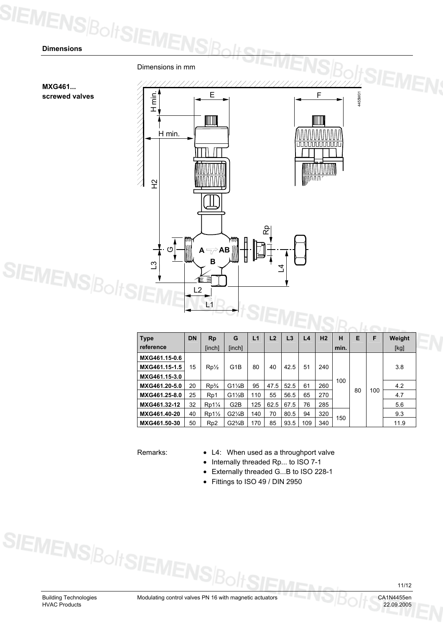SIEMENS Bolt SIEN Dimensions in mm ///////////// ///// **MXG461...**  4455M01 H min. E F **screwed valves**  IIII IIII H min. **uuuuuuuuuu** iinn n r  $\mathfrak{L}$ Rp  $A \rightarrow$ AB G**SIEMENSBc B** ကု L4 L2 L1 **VIENSBO** 

| <b>Type</b>   | <b>DN</b> | <b>Rp</b>        | G                | L1  | L <sub>2</sub> | L3   | L <sub>4</sub> | H <sub>2</sub> | н    | Е | F         | Weight |     |     |
|---------------|-----------|------------------|------------------|-----|----------------|------|----------------|----------------|------|---|-----------|--------|-----|-----|
| reference     |           | [inch]           | [inch]           |     |                |      |                |                | min. |   |           | [kg]   |     |     |
| MXG461.15-0.6 |           |                  |                  |     |                |      |                |                |      |   |           |        |     |     |
| MXG461.15-1.5 | 15        | $Rp\frac{1}{2}$  | G <sub>1</sub> B | 80  | 40             | 42.5 | 51             | 240            |      |   | 80<br>100 | 3.8    |     |     |
| MXG461.15-3.0 |           |                  |                  |     |                |      |                |                |      |   |           |        |     |     |
| MXG461.20-5.0 | 20        | Rp <sub>4</sub>  | $G1\frac{1}{4}B$ | 95  | 47.5           | 52.5 | 61             | 260            | 100  |   |           | 4.2    |     |     |
| MXG461.25-8.0 | 25        | R <sub>p</sub> 1 | $G1\frac{1}{2}B$ | 110 | 55             | 56.5 | 65             | 270            |      |   |           | 4.7    |     |     |
| MXG461.32-12  | 32        | $Rp1\frac{1}{4}$ | G2B              | 125 | 62.5           | 67.5 | 76             | 285            |      |   |           |        |     | 5.6 |
| MXG461.40-20  | 40        | $Rp1\frac{1}{2}$ | $G2\frac{1}{4}B$ | 140 | 70             | 80.5 | 94             | 320            |      |   |           |        | 9.3 |     |
| MXG461.50-30  | 50        | R <sub>p</sub> 2 | $G2\frac{3}{4}B$ | 170 | 85             | 93.5 | 109            | 340            | 50   |   |           | 11.9   |     |     |

Remarks: • L4: When used as a throughport valve

• Internally threaded Rp... to ISO 7-1

• Externally threaded G...B to ISO 228-1

• Fittings to ISO 49 / DIN 2950

SIEMENS Bolt SIEMENS B